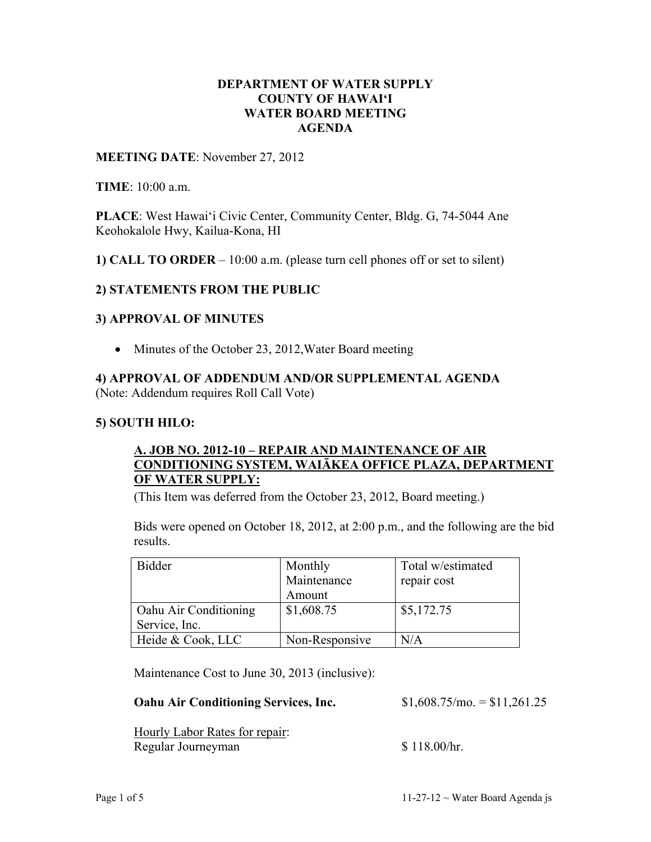## **DEPARTMENT OF WATER SUPPLY COUNTY OF HAWAI'I WATER BOARD MEETING AGENDA**

#### **MEETING DATE**: November 27, 2012

**TIME**: 10:00 a.m.

**PLACE**: West Hawai'i Civic Center, Community Center, Bldg. G, 74-5044 Ane Keohokalole Hwy, Kailua-Kona, HI

**1) CALL TO ORDER** – 10:00 a.m. (please turn cell phones off or set to silent)

## **2) STATEMENTS FROM THE PUBLIC**

#### **3) APPROVAL OF MINUTES**

• Minutes of the October 23, 2012, Water Board meeting

# **4) APPROVAL OF ADDENDUM AND/OR SUPPLEMENTAL AGENDA**

(Note: Addendum requires Roll Call Vote)

#### **5) SOUTH HILO:**

## **A. JOB NO. 2012-10 – REPAIR AND MAINTENANCE OF AIR CONDITIONING SYSTEM, WAIĀKEA OFFICE PLAZA, DEPARTMENT OF WATER SUPPLY:**

(This Item was deferred from the October 23, 2012, Board meeting.)

Bids were opened on October 18, 2012, at 2:00 p.m., and the following are the bid results.

| <b>Bidder</b>         | Monthly        | Total w/estimated |
|-----------------------|----------------|-------------------|
|                       | Maintenance    | repair cost       |
|                       | Amount         |                   |
| Oahu Air Conditioning | \$1,608.75     | \$5,172.75        |
| Service, Inc.         |                |                   |
| Heide & Cook, LLC     | Non-Responsive | $\rm N/A$         |

Maintenance Cost to June 30, 2013 (inclusive):

## **Oahu Air Conditioning Services, Inc.** \$1,608.75/mo. = \$11,261.25

Hourly Labor Rates for repair: Regular Journeyman  $$ 118.00/hr.$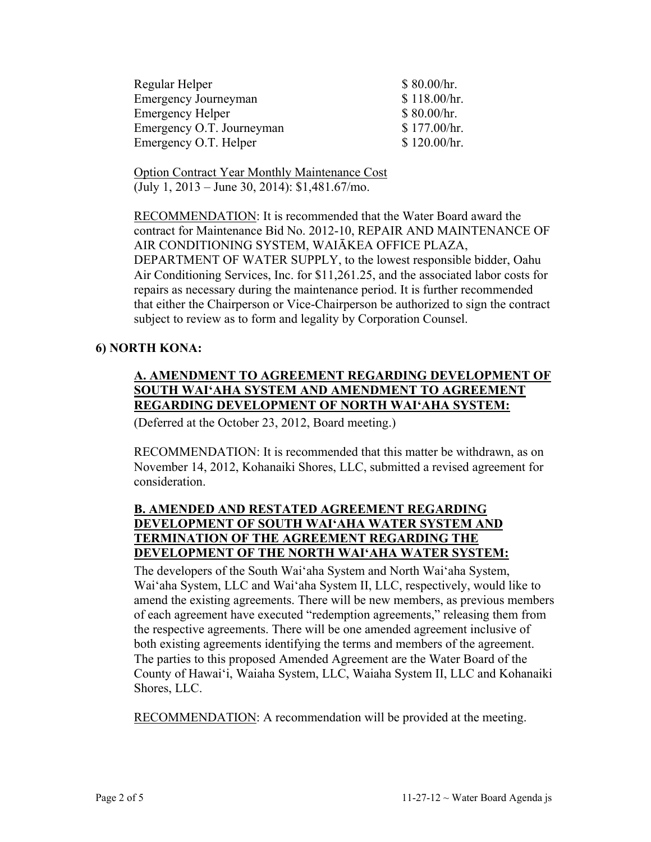| \$80.00/hr.  |
|--------------|
| \$118.00/hr. |
| \$80.00/hr.  |
| \$177.00/hr. |
| \$120.00/hr. |
|              |

Option Contract Year Monthly Maintenance Cost (July 1, 2013 – June 30, 2014): \$1,481.67/mo.

RECOMMENDATION: It is recommended that the Water Board award the contract for Maintenance Bid No. 2012-10, REPAIR AND MAINTENANCE OF AIR CONDITIONING SYSTEM, WAIĀKEA OFFICE PLAZA, DEPARTMENT OF WATER SUPPLY, to the lowest responsible bidder, Oahu Air Conditioning Services, Inc. for \$11,261.25, and the associated labor costs for repairs as necessary during the maintenance period. It is further recommended that either the Chairperson or Vice-Chairperson be authorized to sign the contract subject to review as to form and legality by Corporation Counsel.

## **6) NORTH KONA:**

## **A. AMENDMENT TO AGREEMENT REGARDING DEVELOPMENT OF SOUTH WAI'AHA SYSTEM AND AMENDMENT TO AGREEMENT REGARDING DEVELOPMENT OF NORTH WAI'AHA SYSTEM:**

(Deferred at the October 23, 2012, Board meeting.)

RECOMMENDATION: It is recommended that this matter be withdrawn, as on November 14, 2012, Kohanaiki Shores, LLC, submitted a revised agreement for consideration.

## **B. AMENDED AND RESTATED AGREEMENT REGARDING DEVELOPMENT OF SOUTH WAI'AHA WATER SYSTEM AND TERMINATION OF THE AGREEMENT REGARDING THE DEVELOPMENT OF THE NORTH WAI'AHA WATER SYSTEM:**

The developers of the South Wai'aha System and North Wai'aha System, Wai'aha System, LLC and Wai'aha System II, LLC, respectively, would like to amend the existing agreements. There will be new members, as previous members of each agreement have executed "redemption agreements," releasing them from the respective agreements. There will be one amended agreement inclusive of both existing agreements identifying the terms and members of the agreement. The parties to this proposed Amended Agreement are the Water Board of the County of Hawai'i, Waiaha System, LLC, Waiaha System II, LLC and Kohanaiki Shores, LLC.

RECOMMENDATION: A recommendation will be provided at the meeting.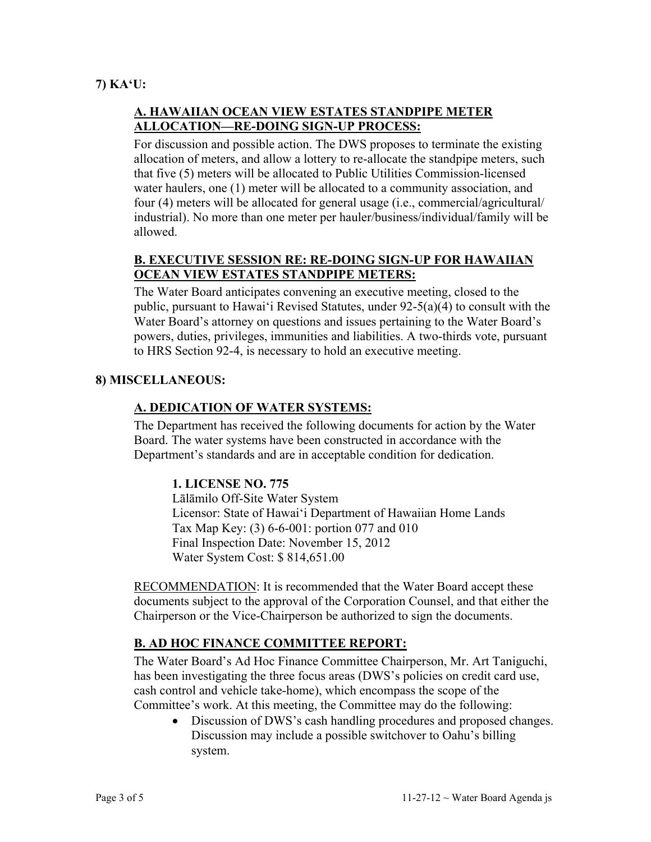## **7) KA'U:**

## **A. HAWAIIAN OCEAN VIEW ESTATES STANDPIPE METER ALLOCATION—RE-DOING SIGN-UP PROCESS:**

For discussion and possible action. The DWS proposes to terminate the existing allocation of meters, and allow a lottery to re-allocate the standpipe meters, such that five (5) meters will be allocated to Public Utilities Commission-licensed water haulers, one (1) meter will be allocated to a community association, and four (4) meters will be allocated for general usage (i.e., commercial/agricultural/ industrial). No more than one meter per hauler/business/individual/family will be allowed.

## **B. EXECUTIVE SESSION RE: RE-DOING SIGN-UP FOR HAWAIIAN OCEAN VIEW ESTATES STANDPIPE METERS:**

The Water Board anticipates convening an executive meeting, closed to the public, pursuant to Hawai'i Revised Statutes, under 92-5(a)(4) to consult with the Water Board's attorney on questions and issues pertaining to the Water Board's powers, duties, privileges, immunities and liabilities. A two-thirds vote, pursuant to HRS Section 92-4, is necessary to hold an executive meeting.

## **8) MISCELLANEOUS:**

## **A. DEDICATION OF WATER SYSTEMS:**

The Department has received the following documents for action by the Water Board. The water systems have been constructed in accordance with the Department's standards and are in acceptable condition for dedication.

## **1. LICENSE NO. 775**

Lālāmilo Off-Site Water System Licensor: State of Hawai'i Department of Hawaiian Home Lands Tax Map Key: (3) 6-6-001: portion 077 and 010 Final Inspection Date: November 15, 2012 Water System Cost: \$ 814,651.00

RECOMMENDATION: It is recommended that the Water Board accept these documents subject to the approval of the Corporation Counsel, and that either the Chairperson or the Vice-Chairperson be authorized to sign the documents.

# **B. AD HOC FINANCE COMMITTEE REPORT:**

The Water Board's Ad Hoc Finance Committee Chairperson, Mr. Art Taniguchi, has been investigating the three focus areas (DWS's policies on credit card use, cash control and vehicle take-home), which encompass the scope of the Committee's work. At this meeting, the Committee may do the following:

• Discussion of DWS's cash handling procedures and proposed changes. Discussion may include a possible switchover to Oahu's billing system.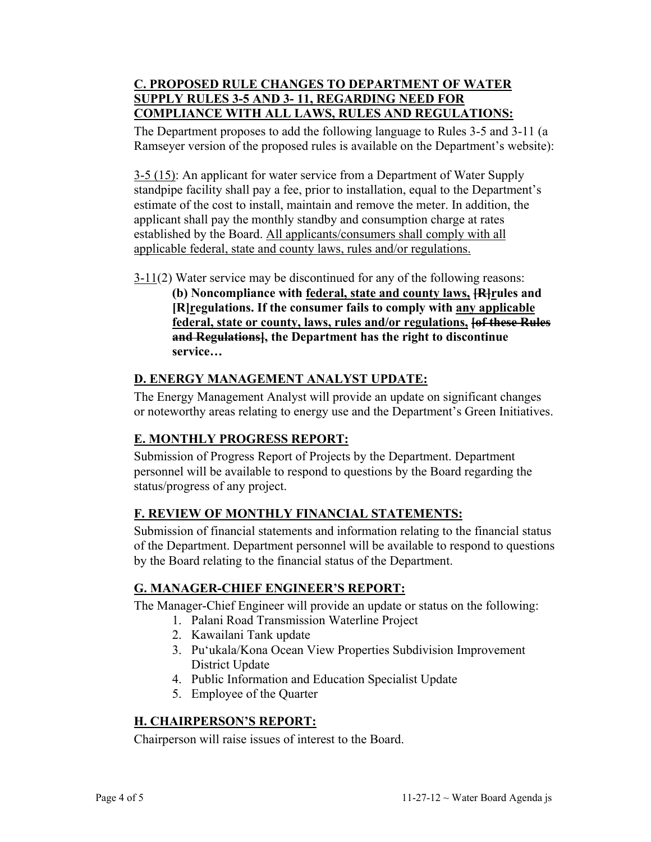## **C. PROPOSED RULE CHANGES TO DEPARTMENT OF WATER SUPPLY RULES 3-5 AND 3- 11, REGARDING NEED FOR COMPLIANCE WITH ALL LAWS, RULES AND REGULATIONS:**

The Department proposes to add the following language to Rules 3-5 and 3-11 (a Ramseyer version of the proposed rules is available on the Department's website):

3-5 (15): An applicant for water service from a Department of Water Supply standpipe facility shall pay a fee, prior to installation, equal to the Department's estimate of the cost to install, maintain and remove the meter. In addition, the applicant shall pay the monthly standby and consumption charge at rates established by the Board. All applicants/consumers shall comply with all applicable federal, state and county laws, rules and/or regulations.

 $3-11(2)$  Water service may be discontinued for any of the following reasons: **(b) Noncompliance with federal, state and county laws, [R]rules and [R]regulations. If the consumer fails to comply with any applicable federal, state or county, laws, rules and/or regulations, [of these Rules** 

**and Regulations], the Department has the right to discontinue** 

# **D. ENERGY MANAGEMENT ANALYST UPDATE:**

The Energy Management Analyst will provide an update on significant changes or noteworthy areas relating to energy use and the Department's Green Initiatives.

# **E. MONTHLY PROGRESS REPORT:**

**service…** 

Submission of Progress Report of Projects by the Department. Department personnel will be available to respond to questions by the Board regarding the status/progress of any project.

# **F. REVIEW OF MONTHLY FINANCIAL STATEMENTS:**

Submission of financial statements and information relating to the financial status of the Department. Department personnel will be available to respond to questions by the Board relating to the financial status of the Department.

# **G. MANAGER-CHIEF ENGINEER'S REPORT:**

The Manager-Chief Engineer will provide an update or status on the following:

- 1. Palani Road Transmission Waterline Project
- 2. Kawailani Tank update
- 3. Pu'ukala/Kona Ocean View Properties Subdivision Improvement District Update
- 4. Public Information and Education Specialist Update
- 5. Employee of the Quarter

# **H. CHAIRPERSON'S REPORT:**

Chairperson will raise issues of interest to the Board.